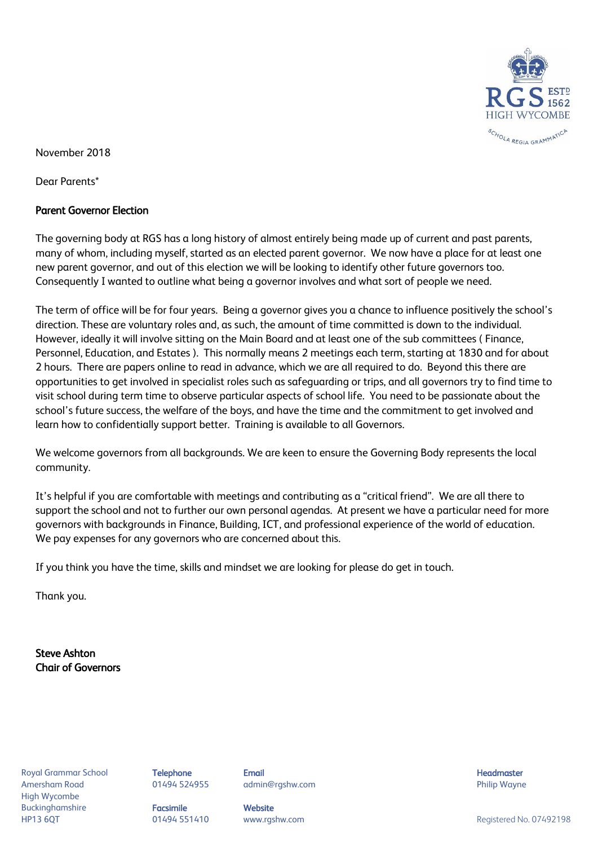

November 2018

Dear Parents\*

# Parent Governor Election

The governing body at RGS has a long history of almost entirely being made up of current and past parents, many of whom, including myself, started as an elected parent governor. We now have a place for at least one new parent governor, and out of this election we will be looking to identify other future governors too. Consequently I wanted to outline what being a governor involves and what sort of people we need.

The term of office will be for four years. Being a governor gives you a chance to influence positively the school's direction. These are voluntary roles and, as such, the amount of time committed is down to the individual. However, ideally it will involve sitting on the Main Board and at least one of the sub committees ( Finance, Personnel, Education, and Estates ). This normally means 2 meetings each term, starting at 1830 and for about 2 hours. There are papers online to read in advance, which we are all required to do. Beyond this there are opportunities to get involved in specialist roles such as safeguarding or trips, and all governors try to find time to visit school during term time to observe particular aspects of school life. You need to be passionate about the school's future success, the welfare of the boys, and have the time and the commitment to get involved and learn how to confidentially support better. Training is available to all Governors.

We welcome governors from all backgrounds. We are keen to ensure the Governing Body represents the local community.

It's helpful if you are comfortable with meetings and contributing as a "critical friend". We are all there to support the school and not to further our own personal agendas. At present we have a particular need for more governors with backgrounds in Finance, Building, ICT, and professional experience of the world of education. We pay expenses for any governors who are concerned about this.

If you think you have the time, skills and mindset we are looking for please do get in touch.

Thank you.

Steve Ashton Chair of Governors

Amersham Road 01494 524955 admin@rgshw.com Philip Wayne High Wycombe Buckinghamshire **Facsimile Website** 

Royal Grammar School **Telephone Email Headmaster Email Headmaster Headmaster Headmaster** 

HP13 6QT and the CH494 551410 www.rgshw.com and the CH492198 Registered No. 07492198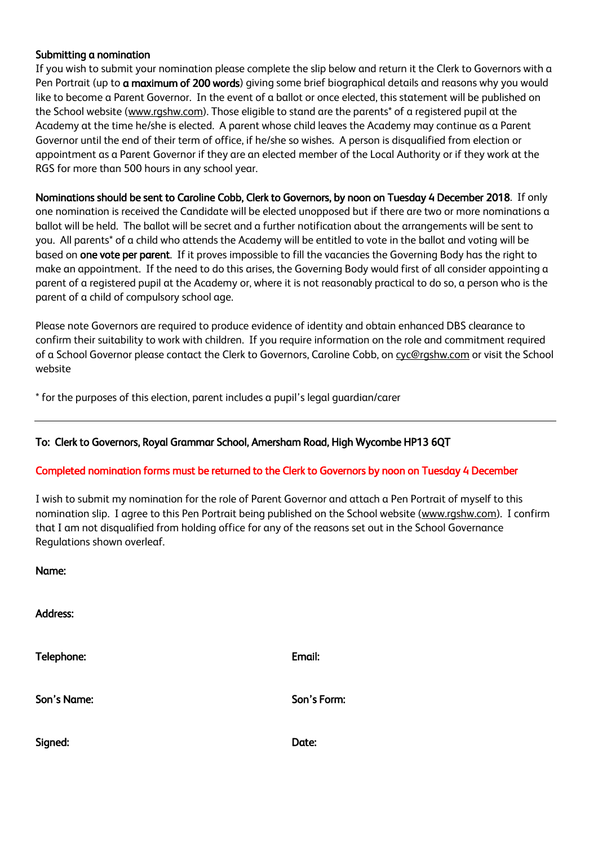# Submitting a nomination

If you wish to submit your nomination please complete the slip below and return it the Clerk to Governors with a Pen Portrait (up to **a maximum of 200 words**) giving some brief biographical details and reasons why you would like to become a Parent Governor. In the event of a ballot or once elected, this statement will be published on the School website (www.rgshw.com). Those eligible to stand are the parents<sup>\*</sup> of a registered pupil at the Academy at the time he/she is elected. A parent whose child leaves the Academy may continue as a Parent Governor until the end of their term of office, if he/she so wishes. A person is disqualified from election or appointment as a Parent Governor if they are an elected member of the Local Authority or if they work at the RGS for more than 500 hours in any school year.

#### Nominations should be sent to Caroline Cobb, Clerk to Governors, by noon on Tuesday 4 December 2018. If only

one nomination is received the Candidate will be elected unopposed but if there are two or more nominations a ballot will be held. The ballot will be secret and a further notification about the arrangements will be sent to you. All parents\* of a child who attends the Academy will be entitled to vote in the ballot and voting will be based on one vote per parent. If it proves impossible to fill the vacancies the Governing Body has the right to make an appointment. If the need to do this arises, the Governing Body would first of all consider appointing a parent of a registered pupil at the Academy or, where it is not reasonably practical to do so, a person who is the parent of a child of compulsory school age.

Please note Governors are required to produce evidence of identity and obtain enhanced DBS clearance to confirm their suitability to work with children. If you require information on the role and commitment required of a School Governor please contact the Clerk to Governors, Caroline Cobb, on cyc@rgshw.com or visit the School website

\* for the purposes of this election, parent includes a pupil's legal guardian/carer

# To: Clerk to Governors, Royal Grammar School, Amersham Road, High Wycombe HP13 6QT

#### Completed nomination forms must be returned to the Clerk to Governors by noon on Tuesday 4 December

I wish to submit my nomination for the role of Parent Governor and attach a Pen Portrait of myself to this nomination slip. I agree to this Pen Portrait being published on the School website (www.rgshw.com). I confirm that I am not disqualified from holding office for any of the reasons set out in the School Governance Regulations shown overleaf.

Name:

Address:

| Telephone:  | Email:      |
|-------------|-------------|
| Son's Name: | Son's Form: |
| Signed:     | Date:       |